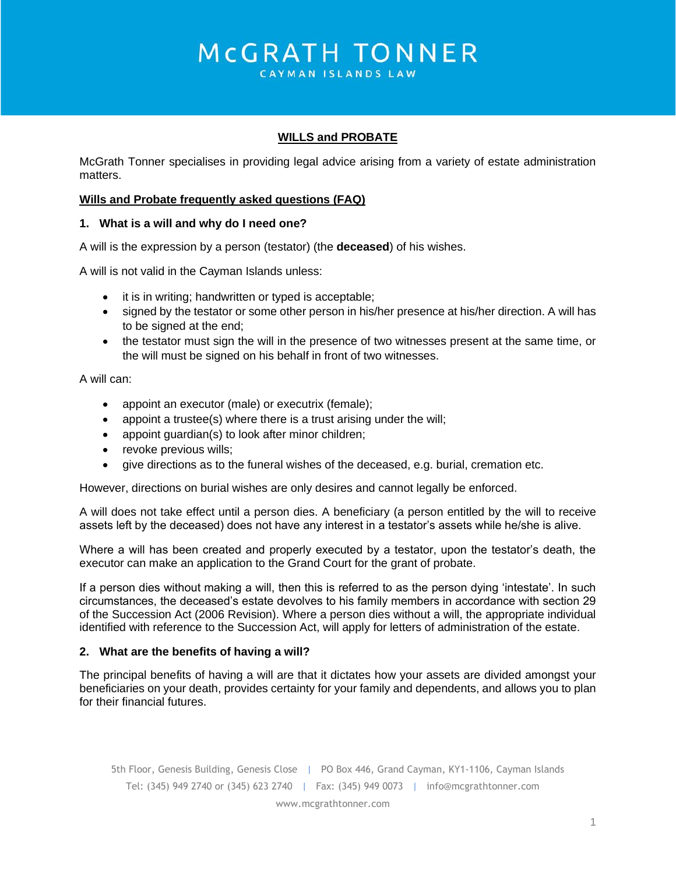# MCGRATH TONNER

CAYMAN ISLANDS LAW

## **WILLS and PROBATE**

McGrath Tonner specialises in providing legal advice arising from a variety of estate administration matters.

#### **Wills and Probate frequently asked questions (FAQ)**

#### **1. What is a will and why do I need one?**

A will is the expression by a person (testator) (the **deceased**) of his wishes.

A will is not valid in the Cayman Islands unless:

- it is in writing; handwritten or typed is acceptable;
- signed by the testator or some other person in his/her presence at his/her direction. A will has to be signed at the end;
- the testator must sign the will in the presence of two witnesses present at the same time, or the will must be signed on his behalf in front of two witnesses.

A will can:

- appoint an executor (male) or executrix (female);
- appoint a trustee(s) where there is a trust arising under the will;
- appoint guardian(s) to look after minor children;
- revoke previous wills;
- give directions as to the funeral wishes of the deceased, e.g. burial, cremation etc.

However, directions on burial wishes are only desires and cannot legally be enforced.

A will does not take effect until a person dies. A beneficiary (a person entitled by the will to receive assets left by the deceased) does not have any interest in a testator's assets while he/she is alive.

Where a will has been created and properly executed by a testator, upon the testator's death, the executor can make an application to the Grand Court for the grant of probate.

If a person dies without making a will, then this is referred to as the person dying 'intestate'. In such circumstances, the deceased's estate devolves to his family members in accordance with section 29 of the Succession Act (2006 Revision). Where a person dies without a will, the appropriate individual identified with reference to the Succession Act, will apply for letters of administration of the estate.

#### **2. What are the benefits of having a will?**

The principal benefits of having a will are that it dictates how your assets are divided amongst your beneficiaries on your death, provides certainty for your family and dependents, and allows you to plan for their financial futures.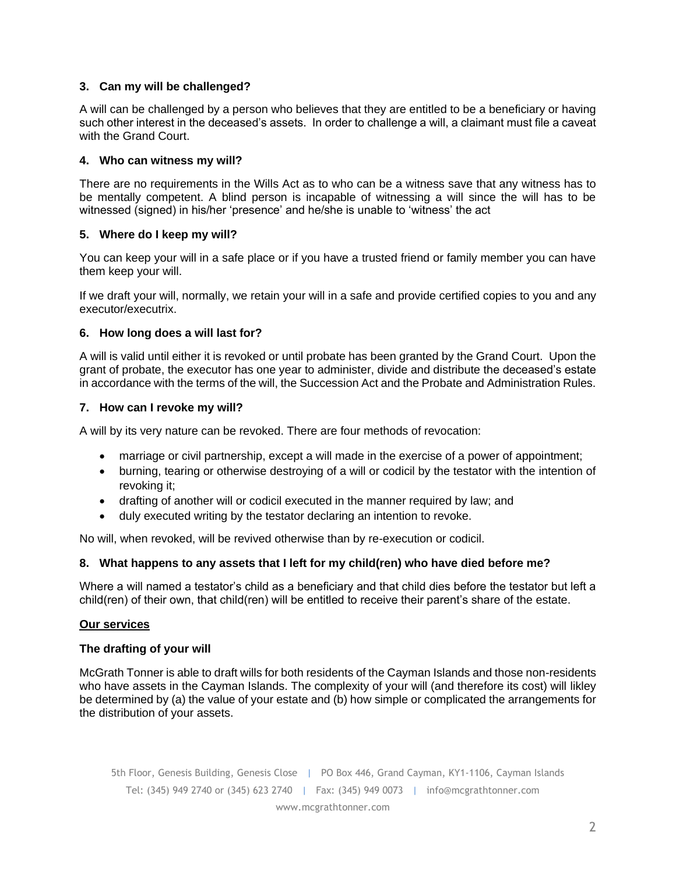## **3. Can my will be challenged?**

A will can be challenged by a person who believes that they are entitled to be a beneficiary or having such other interest in the deceased's assets. In order to challenge a will, a claimant must file a caveat with the Grand Court.

## **4. Who can witness my will?**

There are no requirements in the Wills Act as to who can be a witness save that any witness has to be mentally competent. A blind person is incapable of witnessing a will since the will has to be witnessed (signed) in his/her 'presence' and he/she is unable to 'witness' the act

## **5. Where do I keep my will?**

You can keep your will in a safe place or if you have a trusted friend or family member you can have them keep your will.

If we draft your will, normally, we retain your will in a safe and provide certified copies to you and any executor/executrix.

#### **6. How long does a will last for?**

A will is valid until either it is revoked or until probate has been granted by the Grand Court. Upon the grant of probate, the executor has one year to administer, divide and distribute the deceased's estate in accordance with the terms of the will, the Succession Act and the Probate and Administration Rules.

#### **7. How can I revoke my will?**

A will by its very nature can be revoked. There are four methods of revocation:

- marriage or civil partnership, except a will made in the exercise of a power of appointment;
- burning, tearing or otherwise destroying of a will or codicil by the testator with the intention of revoking it;
- drafting of another will or codicil executed in the manner required by law; and
- duly executed writing by the testator declaring an intention to revoke.

No will, when revoked, will be revived otherwise than by re-execution or codicil.

#### **8. What happens to any assets that I left for my child(ren) who have died before me?**

Where a will named a testator's child as a beneficiary and that child dies before the testator but left a child(ren) of their own, that child(ren) will be entitled to receive their parent's share of the estate.

#### **Our services**

#### **The drafting of your will**

McGrath Tonner is able to draft wills for both residents of the Cayman Islands and those non-residents who have assets in the Cayman Islands. The complexity of your will (and therefore its cost) will likley be determined by (a) the value of your estate and (b) how simple or complicated the arrangements for the distribution of your assets.